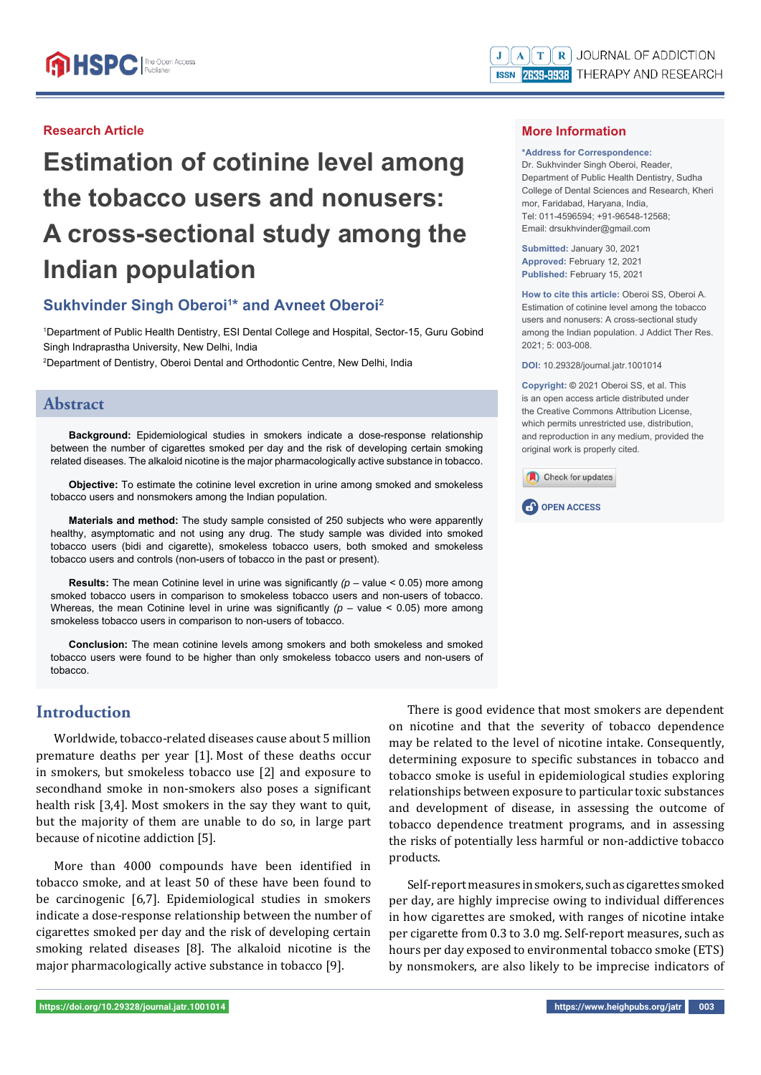## **Research Article**

# **Estimation of cotinine level among the tobacco users and nonusers: A cross-sectional study among the Indian population**

# **Sukhvinder Singh Oberoi<sup>1\*</sup> and Avneet Oberoi<sup>2</sup>**

1 Department of Public Health Dentistry, ESI Dental College and Hospital, Sector-15, Guru Gobind Singh Indraprastha University, New Delhi, India

2 Department of Dentistry, Oberoi Dental and Orthodontic Centre, New Delhi, India

## **Abstract**

**Background:** Epidemiological studies in smokers indicate a dose-response relationship between the number of cigarettes smoked per day and the risk of developing certain smoking related diseases. The alkaloid nicotine is the major pharmacologically active substance in tobacco.

**Objective:** To estimate the cotinine level excretion in urine among smoked and smokeless tobacco users and nonsmokers among the Indian population.

**Materials and method:** The study sample consisted of 250 subjects who were apparently healthy, asymptomatic and not using any drug. The study sample was divided into smoked tobacco users (bidi and cigarette), smokeless tobacco users, both smoked and smokeless tobacco users and controls (non-users of tobacco in the past or present).

**Results:** The mean Cotinine level in urine was significantly  $(p - value < 0.05)$  more among smoked tobacco users in comparison to smokeless tobacco users and non-users of tobacco. Whereas, the mean Cotinine level in urine was significantly  $(p -$  value  $< 0.05)$  more among smokeless tobacco users in comparison to non-users of tobacco.

**Conclusion:** The mean cotinine levels among smokers and both smokeless and smoked tobacco users were found to be higher than only smokeless tobacco users and non-users of tobacco.

# **Introduction**

Worldwide, tobacco-related diseases cause about 5 million premature deaths per year [1]. Most of these deaths occur in smokers, but smokeless tobacco use [2] and exposure to secondhand smoke in non-smokers also poses a significant health risk [3,4]. Most smokers in the say they want to quit, but the majority of them are unable to do so, in large part because of nicotine addiction [5].

More than 4000 compounds have been identified in tobacco smoke, and at least 50 of these have been found to be carcinogenic [6,7]. Epidemiological studies in smokers indicate a dose-response relationship between the number of cigarettes smoked per day and the risk of developing certain smoking related diseases [8]. The alkaloid nicotine is the major pharmacologically active substance in tobacco [9].

## **More Information**

#### **\*Address for Correspondence:**

Dr. Sukhvinder Singh Oberoi, Reader, Department of Public Health Dentistry, Sudha College of Dental Sciences and Research, Kheri mor, Faridabad, Haryana, India, Tel: 011-4596594; +91-96548-12568; Email: drsukhvinder@gmail.com

**Submitted:** January 30, 2021 **Approved:** February 12, 2021 **Published:** February 15, 2021

**How to cite this article:** Oberoi SS, Oberoi A. Estimation of cotinine level among the tobacco users and nonusers: A cross-sectional study among the Indian population. J Addict Ther Res.  $2021: 5: 003-008$ 

**DOI:** 10.29328/journal.jatr.1001014

**Copyright: ©** 2021 Oberoi SS, et al. This is an open access article distributed under the Creative Commons Attribution License, which permits unrestricted use, distribution, and reproduction in any medium, provided the original work is properly cited.





There is good evidence that most smokers are dependent on nicotine and that the severity of tobacco dependence may be related to the level of nicotine intake. Consequently, determining exposure to specific substances in tobacco and tobacco smoke is useful in epidemiological studies exploring relationships between exposure to particular toxic substances and development of disease, in assessing the outcome of tobacco dependence treatment programs, and in assessing the risks of potentially less harmful or non-addictive tobacco products.

Self-report measures in smokers, such as cigarettes smoked per day, are highly imprecise owing to individual differences in how cigarettes are smoked, with ranges of nicotine intake per cigarette from 0.3 to 3.0 mg. Self-report measures, such as hours per day exposed to environmental tobacco smoke (ETS) by nonsmokers, are also likely to be imprecise indicators of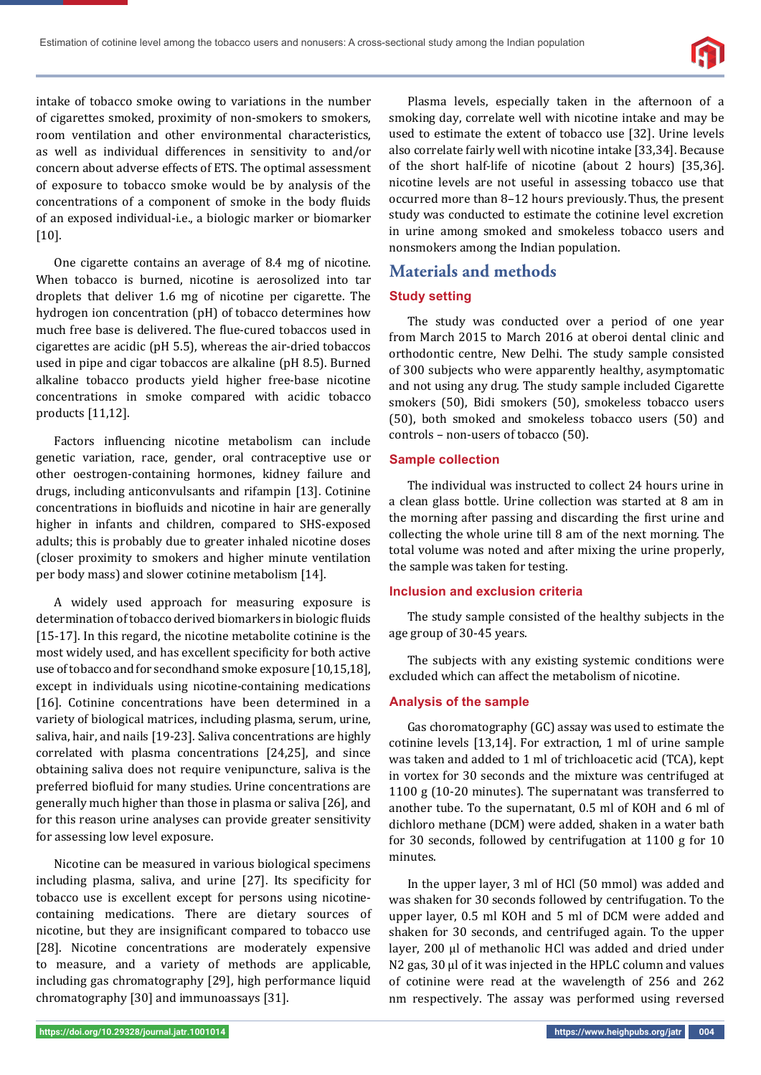

intake of tobacco smoke owing to variations in the number of cigarettes smoked, proximity of non-smokers to smokers, room ventilation and other environmental characteristics, as well as individual differences in sensitivity to and/or concern about adverse effects of ETS. The optimal assessment of exposure to tobacco smoke would be by analysis of the concentrations of a component of smoke in the body fluids of an exposed individual-i.e., a biologic marker or biomarker [10].

One cigarette contains an average of 8.4 mg of nicotine. When tobacco is burned, nicotine is aerosolized into tar droplets that deliver 1.6 mg of nicotine per cigarette. The hydrogen ion concentration (pH) of tobacco determines how much free base is delivered. The flue-cured tobaccos used in cigarettes are acidic (pH 5.5), whereas the air-dried tobaccos used in pipe and cigar tobaccos are alkaline (pH 8.5). Burned alkaline tobacco products yield higher free-base nicotine concentrations in smoke compared with acidic tobacco products [11,12].

Factors influencing nicotine metabolism can include genetic variation, race, gender, oral contraceptive use or other oestrogen-containing hormones, kidney failure and drugs, including anticonvulsants and rifampin [13]. Cotinine concentrations in biofluids and nicotine in hair are generally higher in infants and children, compared to SHS-exposed adults; this is probably due to greater inhaled nicotine doses (closer proximity to smokers and higher minute ventilation per body mass) and slower cotinine metabolism [14].

A widely used approach for measuring exposure is determination of tobacco derived biomarkers in biologic fluids [15-17]. In this regard, the nicotine metabolite cotinine is the most widely used, and has excellent specificity for both active use of tobacco and for secondhand smoke exposure [10,15,18], except in individuals using nicotine-containing medications [16]. Cotinine concentrations have been determined in a variety of biological matrices, including plasma, serum, urine, saliva, hair, and nails [19-23]. Saliva concentrations are highly correlated with plasma concentrations [24,25], and since obtaining saliva does not require venipuncture, saliva is the preferred biofluid for many studies. Urine concentrations are generally much higher than those in plasma or saliva [26], and for this reason urine analyses can provide greater sensitivity for assessing low level exposure.

Nicotine can be measured in various biological specimens including plasma, saliva, and urine [27]. Its specificity for tobacco use is excellent except for persons using nicotinecontaining medications. There are dietary sources of nicotine, but they are insignificant compared to tobacco use [28]. Nicotine concentrations are moderately expensive to measure, and a variety of methods are applicable, including gas chromatography [29], high performance liquid chromatography [30] and immunoassays [31].

Plasma levels, especially taken in the afternoon of a smoking day, correlate well with nicotine intake and may be used to estimate the extent of tobacco use [32]. Urine levels also correlate fairly well with nicotine intake [33,34]. Because of the short half-life of nicotine (about 2 hours) [35,36]. nicotine levels are not useful in assessing tobacco use that occurred more than 8–12 hours previously.Thus, the present study was conducted to estimate the cotinine level excretion in urine among smoked and smokeless tobacco users and nonsmokers among the Indian population.

## **Materials and methods**

## **Study setting**

The study was conducted over a period of one year from March 2015 to March 2016 at oberoi dental clinic and orthodontic centre, New Delhi. The study sample consisted of 300 subjects who were apparently healthy, asymptomatic and not using any drug. The study sample included Cigarette smokers (50), Bidi smokers (50), smokeless tobacco users (50), both smoked and smokeless tobacco users (50) and controls – non-users of tobacco (50).

## **Sample collection**

The individual was instructed to collect 24 hours urine in a clean glass bottle. Urine collection was started at 8 am in the morning after passing and discarding the first urine and collecting the whole urine till 8 am of the next morning. The total volume was noted and after mixing the urine properly, the sample was taken for testing.

### **Inclusion and exclusion criteria**

The study sample consisted of the healthy subjects in the age group of 30-45 years.

The subjects with any existing systemic conditions were excluded which can affect the metabolism of nicotine.

### **Analysis of the sample**

Gas choromatography (GC) assay was used to estimate the cotinine levels [13,14]. For extraction, 1 ml of urine sample was taken and added to 1 ml of trichloacetic acid (TCA), kept in vortex for 30 seconds and the mixture was centrifuged at 1100 g (10-20 minutes). The supernatant was transferred to another tube. To the supernatant, 0.5 ml of KOH and 6 ml of dichloro methane (DCM) were added, shaken in a water bath for 30 seconds, followed by centrifugation at 1100 g for 10 minutes.

In the upper layer, 3 ml of HCl (50 mmol) was added and was shaken for 30 seconds followed by centrifugation. To the upper layer, 0.5 ml KOH and 5 ml of DCM were added and shaken for 30 seconds, and centrifuged again. To the upper layer, 200 μl of methanolic HCl was added and dried under N2 gas, 30 μl of it was injected in the HPLC column and values of cotinine were read at the wavelength of 256 and 262 nm respectively. The assay was performed using reversed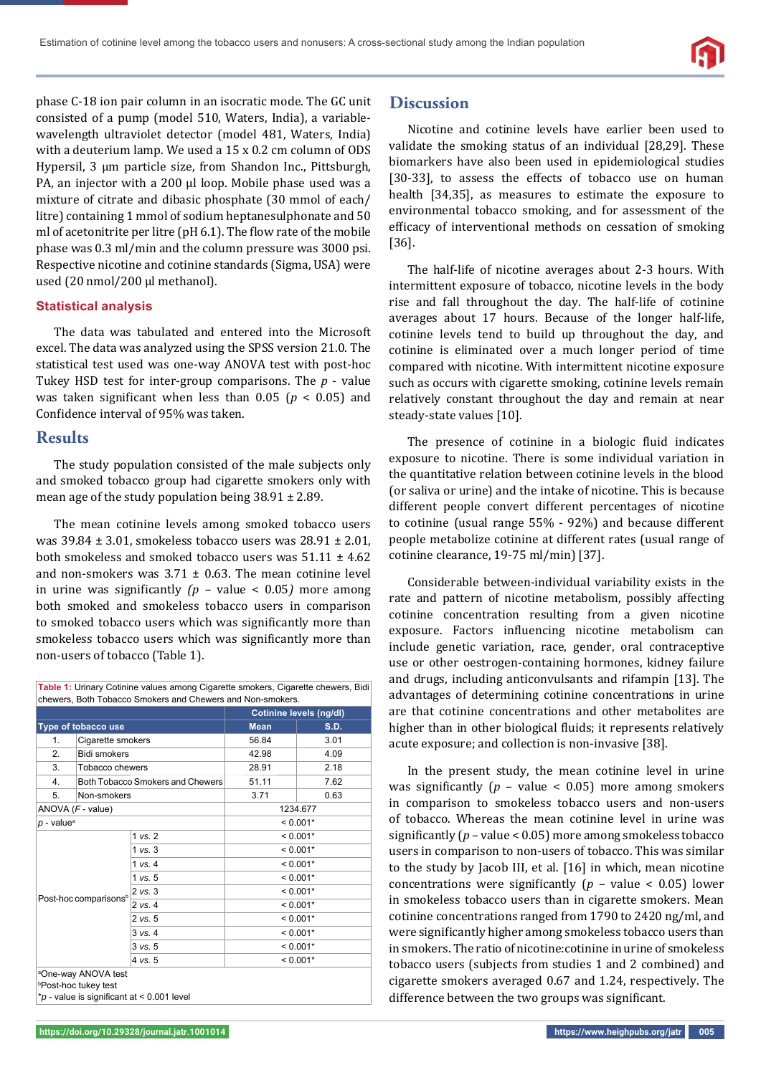phase C-18 ion pair column in an isocratic mode. The GC unit consisted of a pump (model 510, Waters, India), a variablewavelength ultraviolet detector (model 481, Waters, India) with a deuterium lamp. We used a 15 x 0.2 cm column of ODS Hypersil, 3 μm particle size, from Shandon Inc., Pittsburgh, PA, an injector with a 200 μl loop. Mobile phase used was a mixture of citrate and dibasic phosphate (30 mmol of each/ litre) containing 1 mmol of sodium heptanesulphonate and 50 ml of acetonitrite per litre ( $pH$  6.1). The flow rate of the mobile phase was 0.3 ml/min and the column pressure was 3000 psi. Respective nicotine and cotinine standards (Sigma, USA) were used (20 nmol/200 μl methanol).

### **Statistical analysis**

The data was tabulated and entered into the Microsoft excel. The data was analyzed using the SPSS version 21.0. The statistical test used was one-way ANOVA test with post-hoc Tukey HSD test for inter-group comparisons. The *p* - value was taken significant when less than  $0.05$  ( $p < 0.05$ ) and Confidence interval of 95% was taken.

## **Results**

The study population consisted of the male subjects only and smoked tobacco group had cigarette smokers only with mean age of the study population being 38.91 ± 2.89.

The mean cotinine levels among smoked tobacco users was 39.84 ± 3.01, smokeless tobacco users was 28.91 ± 2.01, both smokeless and smoked tobacco users was  $51.11 \pm 4.62$ and non-smokers was  $3.71 \pm 0.63$ . The mean cotinine level in urine was significantly  $(p - value < 0.05)$  more among both smoked and smokeless tobacco users in comparison to smoked tobacco users which was significantly more than smokeless tobacco users which was significantly more than non-users of tobacco (Table 1).

| <b>Table 1:</b> Urinary Cotinine values among Cigarette smokers, Cigarette chewers, Bidi |  |
|------------------------------------------------------------------------------------------|--|
| chewers. Both Tobacco Smokers and Chewers and Non-smokers.                               |  |

| Cotinine levels (ng/dl)                              |             |            |            |
|------------------------------------------------------|-------------|------------|------------|
| <b>Mean</b>                                          | <b>S.D.</b> |            |            |
| 56.84                                                | 3.01        |            |            |
| 42.98                                                | 4.09        |            |            |
| 28.91                                                | 2.18        |            |            |
| 51.11                                                | 7.62        |            |            |
| 3.71                                                 | 0.63        |            |            |
| 1234.677                                             |             |            |            |
| $< 0.001*$                                           |             |            |            |
| $< 0.001*$                                           |             |            |            |
| $< 0.001*$<br>$< 0.001*$                             |             |            |            |
|                                                      |             | $< 0.001*$ |            |
| $< 0.001*$                                           |             |            |            |
| $< 0.001*$<br>$< 0.001*$<br>$< 0.001*$<br>$< 0.001*$ |             |            |            |
|                                                      |             |            | $< 0.001*$ |
|                                                      |             |            |            |
|                                                      |             |            |            |

## **Discussion**

Nicotine and cotinine levels have earlier been used to validate the smoking status of an individual [28,29]. These biomarkers have also been used in epidemiological studies [30-33], to assess the effects of tobacco use on human health [34,35], as measures to estimate the exposure to environmental tobacco smoking, and for assessment of the efficacy of interventional methods on cessation of smoking [36].

The half-life of nicotine averages about 2-3 hours. With intermittent exposure of tobacco, nicotine levels in the body rise and fall throughout the day. The half-life of cotinine averages about 17 hours. Because of the longer half-life, cotinine levels tend to build up throughout the day, and cotinine is eliminated over a much longer period of time compared with nicotine. With intermittent nicotine exposure such as occurs with cigarette smoking, cotinine levels remain relatively constant throughout the day and remain at near steady-state values [10].

The presence of cotinine in a biologic fluid indicates exposure to nicotine. There is some individual variation in the quantitative relation between cotinine levels in the blood (or saliva or urine) and the intake of nicotine. This is because different people convert different percentages of nicotine to cotinine (usual range 55% - 92%) and because different people metabolize cotinine at different rates (usual range of cotinine clearance, 19-75 ml/min) [37].

Considerable between-individual variability exists in the rate and pattern of nicotine metabolism, possibly affecting cotinine concentration resulting from a given nicotine exposure. Factors influencing nicotine metabolism can include genetic variation, race, gender, oral contraceptive use or other oestrogen-containing hormones, kidney failure and drugs, including anticonvulsants and rifampin [13]. The advantages of determining cotinine concentrations in urine are that cotinine concentrations and other metabolites are higher than in other biological fluids; it represents relatively acute exposure; and collection is non-invasive [38].

In the present study, the mean cotinine level in urine was significantly  $(p - value < 0.05)$  more among smokers in comparison to smokeless tobacco users and non-users of tobacco. Whereas the mean cotinine level in urine was significantly  $(p - value < 0.05)$  more among smokeless tobacco users in comparison to non-users of tobacco. This was similar to the study by Jacob III, et al. [16] in which, mean nicotine concentrations were significantly  $(p - value < 0.05)$  lower in smokeless tobacco users than in cigarette smokers. Mean cotinine concentrations ranged from 1790 to 2420 ng/ml, and were significantly higher among smokeless tobacco users than in smokers. The ratio of nicotine:cotinine in urine of smokeless tobacco users (subjects from studies 1 and 2 combined) and cigarette smokers averaged 0.67 and 1.24, respectively. The difference between the two groups was significant.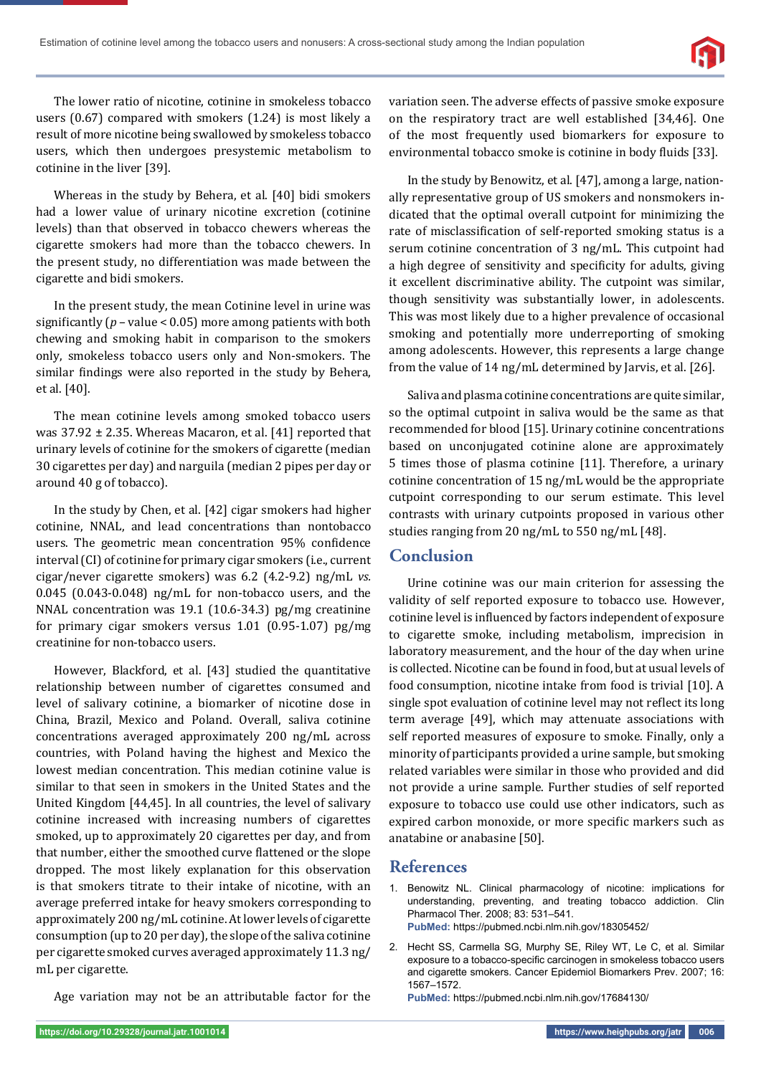

The lower ratio of nicotine, cotinine in smokeless tobacco users (0.67) compared with smokers (1.24) is most likely a result of more nicotine being swallowed by smokeless tobacco users, which then undergoes presystemic metabolism to cotinine in the liver [39].

Whereas in the study by Behera, et al. [40] bidi smokers had a lower value of urinary nicotine excretion (cotinine levels) than that observed in tobacco chewers whereas the cigarette smokers had more than the tobacco chewers. In the present study, no differentiation was made between the cigarette and bidi smokers.

In the present study, the mean Cotinine level in urine was significantly  $(p - value < 0.05)$  more among patients with both chewing and smoking habit in comparison to the smokers only, smokeless tobacco users only and Non-smokers. The similar findings were also reported in the study by Behera, et al. [40].

The mean cotinine levels among smoked tobacco users was 37.92 ± 2.35. Whereas Macaron, et al. [41] reported that urinary levels of cotinine for the smokers of cigarette (median 30 cigarettes per day) and narguila (median 2 pipes per day or around 40 g of tobacco).

In the study by Chen, et al. [42] cigar smokers had higher cotinine, NNAL, and lead concentrations than nontobacco users. The geometric mean concentration 95% confidence interval (CI) of cotinine for primary cigar smokers (i.e., current cigar/never cigarette smokers) was 6.2 (4.2-9.2) ng/mL *vs.* 0.045 (0.043-0.048) ng/mL for non-tobacco users, and the NNAL concentration was 19.1 (10.6-34.3) pg/mg creatinine for primary cigar smokers versus 1.01 (0.95-1.07) pg/mg creatinine for non-tobacco users.

However, Blackford, et al. [43] studied the quantitative relationship between number of cigarettes consumed and level of salivary cotinine, a biomarker of nicotine dose in China, Brazil, Mexico and Poland. Overall, saliva cotinine concentrations averaged approximately 200 ng/mL across countries, with Poland having the highest and Mexico the lowest median concentration. This median cotinine value is similar to that seen in smokers in the United States and the United Kingdom [44,45]. In all countries, the level of salivary cotinine increased with increasing numbers of cigarettes smoked, up to approximately 20 cigarettes per day, and from that number, either the smoothed curve flattened or the slope dropped. The most likely explanation for this observation is that smokers titrate to their intake of nicotine, with an average preferred intake for heavy smokers corresponding to approximately 200 ng/mL cotinine. At lower levels of cigarette consumption (up to 20 per day), the slope of the saliva cotinine per cigarette smoked curves averaged approximately 11.3 ng/ mL per cigarette.

Age variation may not be an attributable factor for the

variation seen. The adverse effects of passive smoke exposure on the respiratory tract are well established [34,46]. One of the most frequently used biomarkers for exposure to environmental tobacco smoke is cotinine in body fluids [33].

In the study by Benowitz, et al. [47], among a large, nationally representative group of US smokers and nonsmokers indicated that the optimal overall cutpoint for minimizing the rate of misclassification of self-reported smoking status is a serum cotinine concentration of 3 ng/mL. This cutpoint had a high degree of sensitivity and specificity for adults, giving it excellent discriminative ability. The cutpoint was similar, though sensitivity was substantially lower, in adolescents. This was most likely due to a higher prevalence of occasional smoking and potentially more underreporting of smoking among adolescents. However, this represents a large change from the value of 14 ng/mL determined by Jarvis, et al. [26].

Saliva and plasma cotinine concentrations are quite similar, so the optimal cutpoint in saliva would be the same as that recommended for blood [15]. Urinary cotinine concentrations based on unconjugated cotinine alone are approximately 5 times those of plasma cotinine [11]. Therefore, a urinary cotinine concentration of 15 ng/mL would be the appropriate cutpoint corresponding to our serum estimate. This level contrasts with urinary cutpoints proposed in various other studies ranging from 20 ng/mL to 550 ng/mL [48].

# **Conclusion**

Urine cotinine was our main criterion for assessing the validity of self reported exposure to tobacco use. However, cotinine level is influenced by factors independent of exposure to cigarette smoke, including metabolism, imprecision in laboratory measurement, and the hour of the day when urine is collected. Nicotine can be found in food, but at usual levels of food consumption, nicotine intake from food is trivial [10]. A single spot evaluation of cotinine level may not reflect its long term average [49], which may attenuate associations with self reported measures of exposure to smoke. Finally, only a minority of participants provided a urine sample, but smoking related variables were similar in those who provided and did not provide a urine sample. Further studies of self reported exposure to tobacco use could use other indicators, such as expired carbon monoxide, or more specific markers such as anatabine or anabasine [50].

## **References**

- 1. Benowitz NL. Clinical pharmacology of nicotine: implications for understanding, preventing, and treating tobacco addiction. Clin Pharmacol Ther. 2008; 83: 531–541. **PubMed:** https://pubmed.ncbi.nlm.nih.gov/18305452/
- 2. Hecht SS, Carmella SG, Murphy SE, Riley WT, Le C, et al. Similar exposure to a tobacco-specific carcinogen in smokeless tobacco users and cigarette smokers. Cancer Epidemiol Biomarkers Prev. 2007; 16: 1567–1572.

**PubMed:** https://pubmed.ncbi.nlm.nih.gov/17684130/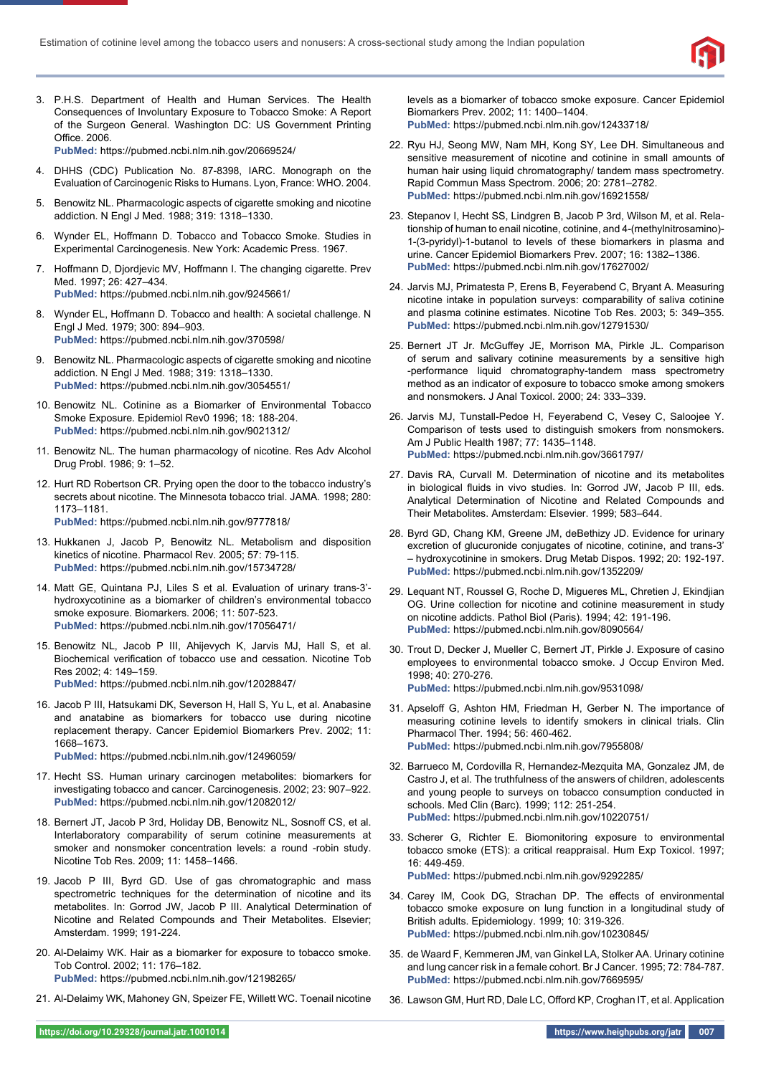

3. P.H.S. Department of Health and Human Services. The Health Consequences of Involuntary Exposure to Tobacco Smoke: A Report of the Surgeon General. Washington DC: US Government Printing Office. 2006.

**PubMed:** https://pubmed.ncbi.nlm.nih.gov/20669524/

- 4. DHHS (CDC) Publication No. 87-8398, IARC. Monograph on the Evaluation of Carcinogenic Risks to Humans. Lyon, France: WHO. 2004.
- 5. Benowitz NL. Pharmacologic aspects of cigarette smoking and nicotine addiction. N Engl J Med. 1988; 319: 1318–1330.
- 6. Wynder EL, Hoffmann D. Tobacco and Tobacco Smoke. Studies in Experimental Carcinogenesis. New York: Academic Press. 1967.
- 7. Hoffmann D, Djordjevic MV, Hoffmann I. The changing cigarette. Prev Med. 1997; 26: 427–434. **PubMed:** https://pubmed.ncbi.nlm.nih.gov/9245661/
- 8. Wynder EL, Hoffmann D. Tobacco and health: A societal challenge. N Engl J Med. 1979; 300: 894–903. **PubMed:** https://pubmed.ncbi.nlm.nih.gov/370598/
- 9. Benowitz NL. Pharmacologic aspects of cigarette smoking and nicotine addiction. N Engl J Med. 1988; 319: 1318–1330. **PubMed:** https://pubmed.ncbi.nlm.nih.gov/3054551/
- 10. Benowitz NL. Cotinine as a Biomarker of Environmental Tobacco Smoke Exposure. Epidemiol Rev0 1996; 18: 188-204. **PubMed:** https://pubmed.ncbi.nlm.nih.gov/9021312/
- 11. Benowitz NL. The human pharmacology of nicotine. Res Adv Alcohol Drug Probl. 1986; 9: 1–52.
- 12. Hurt RD Robertson CR. Prying open the door to the tobacco industry's secrets about nicotine. The Minnesota tobacco trial. JAMA. 1998; 280: 1173–1181. **PubMed:** https://pubmed.ncbi.nlm.nih.gov/9777818/
- 13. Hukkanen J, Jacob P, Benowitz NL. Metabolism and disposition kinetics of nicotine. Pharmacol Rev. 2005; 57: 79-115. **PubMed:** https://pubmed.ncbi.nlm.nih.gov/15734728/
- 14. Matt GE, Quintana PJ, Liles S et al. Evaluation of urinary trans-3' hydroxycotinine as a biomarker of children's environmental tobacco smoke exposure. Biomarkers. 2006; 11: 507-523. **PubMed:** https://pubmed.ncbi.nlm.nih.gov/17056471/
- 15. Benowitz NL, Jacob P III, Ahijevych K, Jarvis MJ, Hall S, et al. Biochemical verification of tobacco use and cessation. Nicotine Tob Res 2002; 4: 149–159. **PubMed:** https://pubmed.ncbi.nlm.nih.gov/12028847/
- 16. Jacob P III, Hatsukami DK, Severson H, Hall S, Yu L, et al. Anabasine and anatabine as biomarkers for tobacco use during nicotine replacement therapy. Cancer Epidemiol Biomarkers Prev. 2002; 11: 1668–1673.
	- **PubMed:** https://pubmed.ncbi.nlm.nih.gov/12496059/
- 17. Hecht SS. Human urinary carcinogen metabolites: biomarkers for investigating tobacco and cancer. Carcinogenesis. 2002; 23: 907–922. **PubMed:** https://pubmed.ncbi.nlm.nih.gov/12082012/
- 18. Bernert JT, Jacob P 3rd, Holiday DB, Benowitz NL, Sosnoff CS, et al. Interlaboratory comparability of serum cotinine measurements at smoker and nonsmoker concentration levels: a round -robin study. Nicotine Tob Res. 2009; 11: 1458–1466.
- 19. Jacob P III, Byrd GD. Use of gas chromatographic and mass spectrometric techniques for the determination of nicotine and its metabolites. In: Gorrod JW, Jacob P III. Analytical Determination of Nicotine and Related Compounds and Their Metabolites. Elsevier; Amsterdam. 1999; 191-224.
- 20. Al-Delaimy WK. Hair as a biomarker for exposure to tobacco smoke. Tob Control. 2002; 11: 176–182. **PubMed:** https://pubmed.ncbi.nlm.nih.gov/12198265/
- 21. Al-Delaimy WK, Mahoney GN, Speizer FE, Willett WC. Toenail nicotine

levels as a biomarker of tobacco smoke exposure. Cancer Epidemiol Biomarkers Prev. 2002; 11: 1400–1404. **PubMed:** https://pubmed.ncbi.nlm.nih.gov/12433718/

- 22. Ryu HJ, Seong MW, Nam MH, Kong SY, Lee DH. Simultaneous and sensitive measurement of nicotine and cotinine in small amounts of human hair using liquid chromatography/ tandem mass spectrometry. Rapid Commun Mass Spectrom. 2006; 20: 2781–2782. **PubMed:** https://pubmed.ncbi.nlm.nih.gov/16921558/
- 23. Stepanov I, Hecht SS, Lindgren B, Jacob P 3rd, Wilson M, et al. Relationship of human to enail nicotine, cotinine, and 4-(methylnitrosamino)- 1-(3-pyridyl)-1-butanol to levels of these biomarkers in plasma and urine. Cancer Epidemiol Biomarkers Prev. 2007; 16: 1382–1386. **PubMed:** https://pubmed.ncbi.nlm.nih.gov/17627002/
- 24. Jarvis MJ, Primatesta P, Erens B, Feyerabend C, Bryant A. Measuring nicotine intake in population surveys: comparability of saliva cotinine and plasma cotinine estimates. Nicotine Tob Res. 2003; 5: 349–355. **PubMed:** https://pubmed.ncbi.nlm.nih.gov/12791530/
- 25. Bernert JT Jr. McGuffey JE, Morrison MA, Pirkle JL. Comparison of serum and salivary cotinine measurements by a sensitive high -performance liquid chromatography-tandem mass spectrometry method as an indicator of exposure to tobacco smoke among smokers and nonsmokers. J Anal Toxicol. 2000; 24: 333–339.
- 26. Jarvis MJ, Tunstall-Pedoe H, Feyerabend C, Vesey C, Saloojee Y. Comparison of tests used to distinguish smokers from nonsmokers. Am J Public Health 1987; 77: 1435–1148. **PubMed:** https://pubmed.ncbi.nlm.nih.gov/3661797/
- 27. Davis RA, Curvall M. Determination of nicotine and its metabolites in biological fluids in vivo studies. In: Gorrod JW, Jacob P III, eds. Analytical Determination of Nicotine and Related Compounds and Their Metabolites. Amsterdam: Elsevier. 1999; 583–644.
- 28. Byrd GD, Chang KM, Greene JM, deBethizy JD. Evidence for urinary excretion of glucuronide conjugates of nicotine, cotinine, and trans-3' – hydroxycotinine in smokers. Drug Metab Dispos. 1992; 20: 192-197. **PubMed:** https://pubmed.ncbi.nlm.nih.gov/1352209/
- 29. Lequant NT, Roussel G, Roche D, Migueres ML, Chretien J, Ekindjian OG. Urine collection for nicotine and cotinine measurement in study on nicotine addicts. Pathol Biol (Paris). 1994; 42: 191-196. **PubMed:** https://pubmed.ncbi.nlm.nih.gov/8090564/
- 30. Trout D, Decker J, Mueller C, Bernert JT, Pirkle J. Exposure of casino employees to environmental tobacco smoke. J Occup Environ Med. 1998; 40: 270-276. **PubMed:** https://pubmed.ncbi.nlm.nih.gov/9531098/
- 31. Apseloff G, Ashton HM, Friedman H, Gerber N. The importance of measuring cotinine levels to identify smokers in clinical trials. Clin Pharmacol Ther. 1994; 56: 460-462. **PubMed:** https://pubmed.ncbi.nlm.nih.gov/7955808/
- 32. Barrueco M, Cordovilla R, Hernandez-Mezquita MA, Gonzalez JM, de Castro J, et al. The truthfulness of the answers of children, adolescents and young people to surveys on tobacco consumption conducted in schools. Med Clin (Barc). 1999; 112: 251-254. **PubMed:** https://pubmed.ncbi.nlm.nih.gov/10220751/
- 33. Scherer G, Richter E. Biomonitoring exposure to environmental tobacco smoke (ETS): a critical reappraisal. Hum Exp Toxicol. 1997; 16: 449-459. **PubMed:** https://pubmed.ncbi.nlm.nih.gov/9292285/
- 34. Carey IM, Cook DG, Strachan DP. The effects of environmental tobacco smoke exposure on lung function in a longitudinal study of British adults. Epidemiology. 1999; 10: 319-326. **PubMed:** https://pubmed.ncbi.nlm.nih.gov/10230845/
- 35. de Waard F, Kemmeren JM, van Ginkel LA, Stolker AA. Urinary cotinine and lung cancer risk in a female cohort. Br J Cancer. 1995; 72: 784-787. **PubMed:** https://pubmed.ncbi.nlm.nih.gov/7669595/
- 36. Lawson GM, Hurt RD, Dale LC, Offord KP, Croghan IT, et al. Application